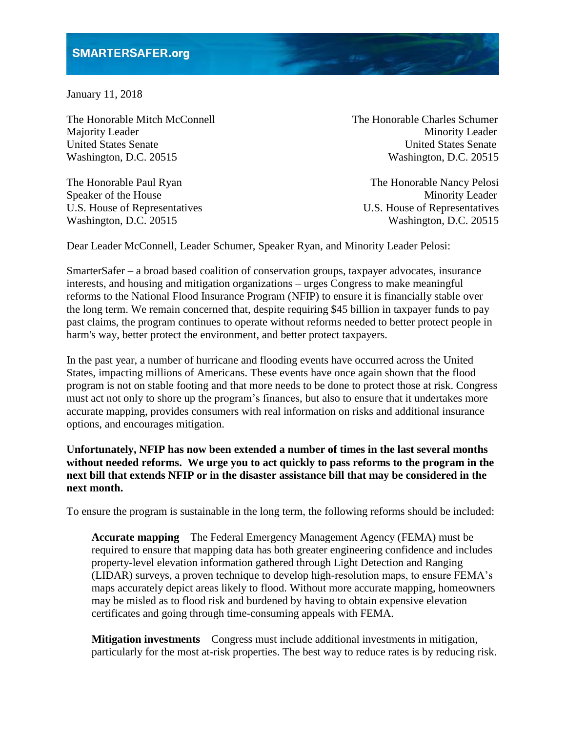January 11, 2018

The Honorable Mitch McConnell The Honorable Charles Schumer Majority Leader Minority Leader United States Senate United States Senate Washington, D.C. 20515 Washington, D.C. 20515

The Honorable Paul Ryan The Honorable Nancy Pelosi

Speaker of the House Minority Leader U.S. House of Representatives U.S. House of Representatives Washington, D.C. 20515 Washington, D.C. 20515

Dear Leader McConnell, Leader Schumer, Speaker Ryan, and Minority Leader Pelosi:

SmarterSafer – a broad based coalition of conservation groups, taxpayer advocates, insurance interests, and housing and mitigation organizations – urges Congress to make meaningful reforms to the National Flood Insurance Program (NFIP) to ensure it is financially stable over the long term. We remain concerned that, despite requiring \$45 billion in taxpayer funds to pay past claims, the program continues to operate without reforms needed to better protect people in harm's way, better protect the environment, and better protect taxpayers.

In the past year, a number of hurricane and flooding events have occurred across the United States, impacting millions of Americans. These events have once again shown that the flood program is not on stable footing and that more needs to be done to protect those at risk. Congress must act not only to shore up the program's finances, but also to ensure that it undertakes more accurate mapping, provides consumers with real information on risks and additional insurance options, and encourages mitigation.

**Unfortunately, NFIP has now been extended a number of times in the last several months without needed reforms. We urge you to act quickly to pass reforms to the program in the next bill that extends NFIP or in the disaster assistance bill that may be considered in the next month.**

To ensure the program is sustainable in the long term, the following reforms should be included:

**Accurate mapping** – The Federal Emergency Management Agency (FEMA) must be required to ensure that mapping data has both greater engineering confidence and includes property-level elevation information gathered through Light Detection and Ranging (LIDAR) surveys, a proven technique to develop high-resolution maps, to ensure FEMA's maps accurately depict areas likely to flood. Without more accurate mapping, homeowners may be misled as to flood risk and burdened by having to obtain expensive elevation certificates and going through time-consuming appeals with FEMA.

**Mitigation investments** – Congress must include additional investments in mitigation, particularly for the most at-risk properties. The best way to reduce rates is by reducing risk.